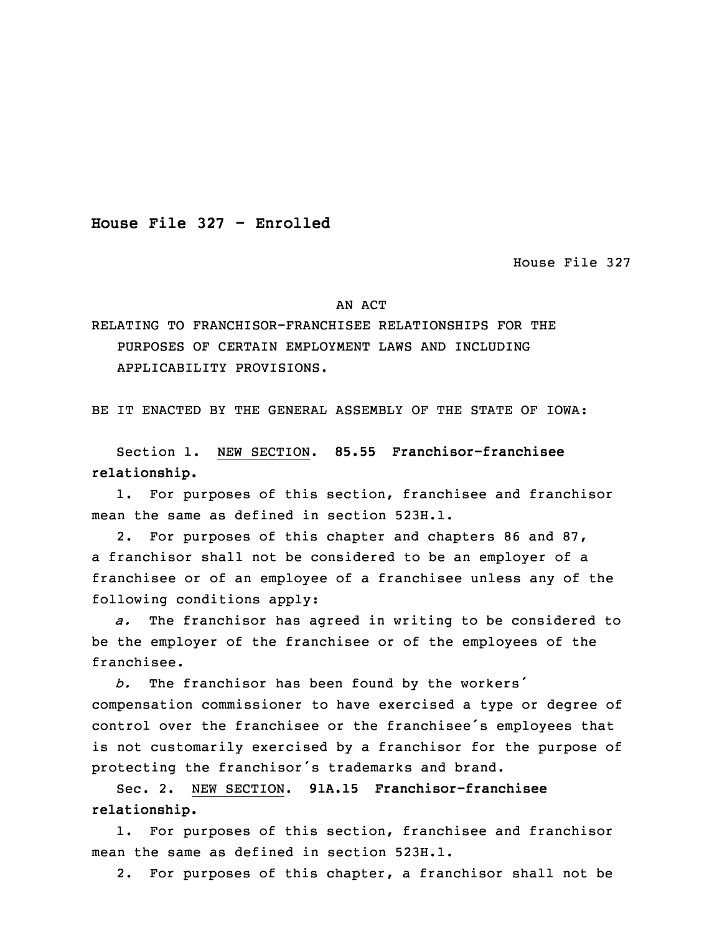**House File 327 - Enrolled**

House File 327

## AN ACT

RELATING TO FRANCHISOR-FRANCHISEE RELATIONSHIPS FOR THE PURPOSES OF CERTAIN EMPLOYMENT LAWS AND INCLUDING APPLICABILITY PROVISIONS.

BE IT ENACTED BY THE GENERAL ASSEMBLY OF THE STATE OF IOWA:

 Section 1. NEW SECTION. **85.55 Franchisor-franchisee relationship.**

1. For purposes of this section, franchisee and franchisor mean the same as defined in section 523H.1.

2. For purposes of this chapter and chapters 86 and 87, a franchisor shall not be considered to be an employer of a franchisee or of an employee of a franchisee unless any of the following conditions apply:

a. The franchisor has agreed in writing to be considered to be the employer of the franchisee or of the employees of the franchisee.

 *b.* The franchisor has been found by the workers' compensation commissioner to have exercised a type or degree of control over the franchisee or the franchisee's employees that is not customarily exercised by a franchisor for the purpose of protecting the franchisor's trademarks and brand.

17 Sec. 2. NEW SECTION. **91A.15 Franchisor-franchisee** 18 **relationship.**

1. For purposes of this section, franchisee and franchisor mean the same as defined in section 523H.1.

2. For purposes of this chapter, <sup>a</sup> franchisor shall not be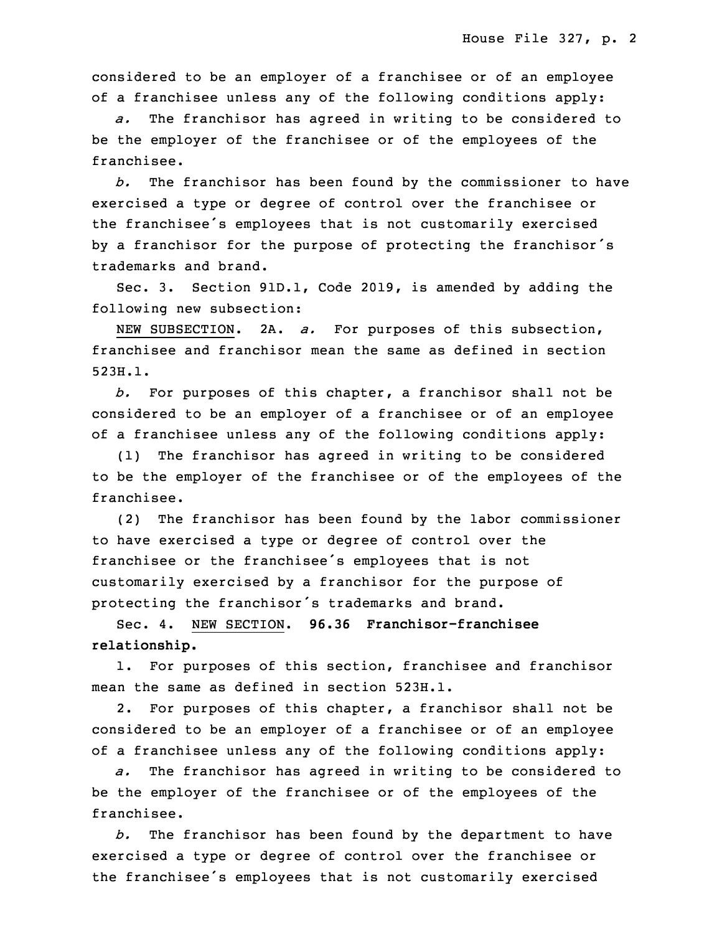considered to be an employer of <sup>a</sup> franchisee or of an employee of a franchisee unless any of the following conditions apply:

 *a.* The franchisor has agreed in writing to be considered to be the employer of the franchisee or of the employees of the franchisee.

b. The franchisor has been found by the commissioner to have exercised a type or degree of control over the franchisee or the franchisee's employees that is not customarily exercised by a franchisor for the purpose of protecting the franchisor's trademarks and brand.

Sec. 3. Section 91D.1, Code 2019, is amended by adding the following new subsection:

NEW SUBSECTION. 2A. *a.* For purposes of this subsection, franchisee and franchisor mean the same as defined in section 523H.1.

 *b.* For purposes of this chapter, <sup>a</sup> franchisor shall not be considered to be an employer of a franchisee or of an employee of <sup>a</sup> franchisee unless any of the following conditions apply:

(1) The franchisor has agreed in writing to be considered 6 to be the employer of the franchisee or of the employees of the franchisee.

(2) The franchisor has been found by the labor commissioner 9 to have exercised <sup>a</sup> type or degree of control over the franchisee or the franchisee's employees that is not customarily exercised by <sup>a</sup> franchisor for the purpose of protecting the franchisor's trademarks and brand.

13 Sec. 4. NEW SECTION. **96.36 Franchisor-franchisee relationship.**

1. For purposes of this section, franchisee and franchisor mean the same as defined in section 523H.1.

2. For purposes of this chapter, a franchisor shall not be considered to be an employer of a franchisee or of an employee of a franchisee unless any of the following conditions apply:

a. The franchisor has agreed in writing to be considered to be the employer of the franchisee or of the employees of the franchisee.

b. The franchisor has been found by the department to have exercised <sup>a</sup> type or degree of control over the franchisee or the franchisee's employees that is not customarily exercised